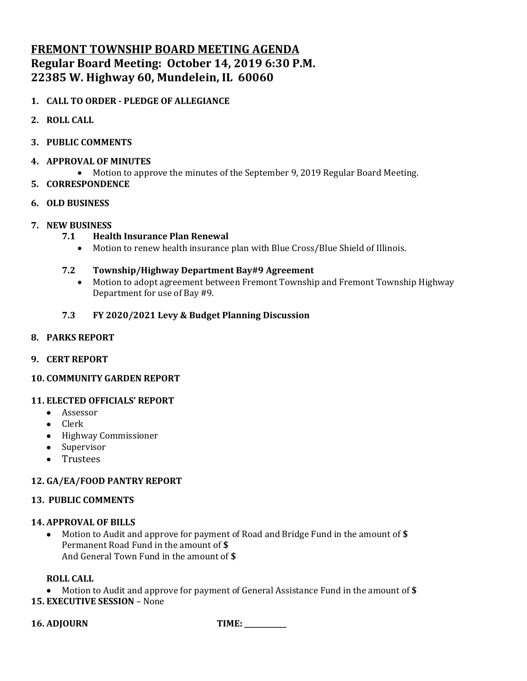# **FREMONT TOWNSHIP BOARD MEETING AGENDA Regular Board Meeting: October 14, 2019 6:30 P.M. 22385 W. Highway 60, Mundelein, IL 60060**

# **1. CALL TO ORDER - PLEDGE OF ALLEGIANCE**

- **2. ROLL CALL**
- **3. PUBLIC COMMENTS**
- **4. APPROVAL OF MINUTES**
	- Motion to approve the minutes of the September 9, 2019 Regular Board Meeting.
- **5. CORRESPONDENCE**
- **6. OLD BUSINESS**
- **7. NEW BUSINESS**
	- **7.1 Health Insurance Plan Renewal**
		- Motion to renew health insurance plan with Blue Cross/Blue Shield of Illinois.

# **7.2 Township/Highway Department Bay#9 Agreement**

• Motion to adopt agreement between Fremont Township and Fremont Township Highway Department for use of Bay #9.

# **7.3 FY 2020/2021 Levy & Budget Planning Discussion**

# **8. PARKS REPORT**

**9. CERT REPORT**

# **10. COMMUNITY GARDEN REPORT**

# **11. ELECTED OFFICIALS' REPORT**

- Assessor
- Clerk
- Highway Commissioner
- Supervisor
- Trustees

# **12. GA/EA/FOOD PANTRY REPORT**

# **13. PUBLIC COMMENTS**

# **14. APPROVAL OF BILLS**

• Motion to Audit and approve for payment of Road and Bridge Fund in the amount of **\$** Permanent Road Fund in the amount of **\$** And General Town Fund in the amount of **\$**

# **ROLL CALL**

• Motion to Audit and approve for payment of General Assistance Fund in the amount of **\$ 15. EXECUTIVE SESSION** – None

**16. ADJOURN TIME: \_\_\_\_\_\_\_\_\_\_\_\_**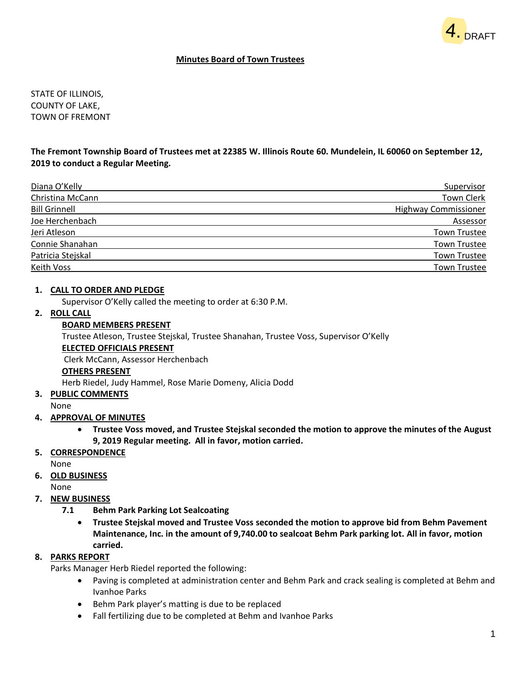

#### **Minutes Board of Town Trustees**

STATE OF ILLINOIS, COUNTY OF LAKE, TOWN OF FREMONT

### **The Fremont Township Board of Trustees met at 22385 W. Illinois Route 60. Mundelein, IL 60060 on September 12, 2019 to conduct a Regular Meeting.**

| Diana O'Kelly        | Supervisor                  |
|----------------------|-----------------------------|
| Christina McCann     | Town Clerk                  |
| <b>Bill Grinnell</b> | <b>Highway Commissioner</b> |
| Joe Herchenbach      | Assessor                    |
| Jeri Atleson         | <b>Town Trustee</b>         |
| Connie Shanahan      | <b>Town Trustee</b>         |
| Patricia Stejskal    | <b>Town Trustee</b>         |
| Keith Voss           | <b>Town Trustee</b>         |

#### **1. CALL TO ORDER AND PLEDGE**

Supervisor O'Kelly called the meeting to order at 6:30 P.M.

## **2. ROLL CALL**

#### **BOARD MEMBERS PRESENT**

Trustee Atleson, Trustee Stejskal, Trustee Shanahan, Trustee Voss, Supervisor O'Kelly

#### **ELECTED OFFICIALS PRESENT**

Clerk McCann, Assessor Herchenbach

#### **OTHERS PRESENT**

Herb Riedel, Judy Hammel, Rose Marie Domeny, Alicia Dodd

**3. PUBLIC COMMENTS**

#### None

- **4. APPROVAL OF MINUTES**
	- **Trustee Voss moved, and Trustee Stejskal seconded the motion to approve the minutes of the August 9, 2019 Regular meeting. All in favor, motion carried.**
- **5. CORRESPONDENCE**

None

**6. OLD BUSINESS**

None

- **7. NEW BUSINESS**
	- **7.1 Behm Park Parking Lot Sealcoating**
		- **Trustee Stejskal moved and Trustee Voss seconded the motion to approve bid from Behm Pavement Maintenance, Inc. in the amount of 9,740.00 to sealcoat Behm Park parking lot. All in favor, motion carried.**

#### **8. PARKS REPORT**

Parks Manager Herb Riedel reported the following:

- Paving is completed at administration center and Behm Park and crack sealing is completed at Behm and Ivanhoe Parks
- Behm Park player's matting is due to be replaced
- Fall fertilizing due to be completed at Behm and Ivanhoe Parks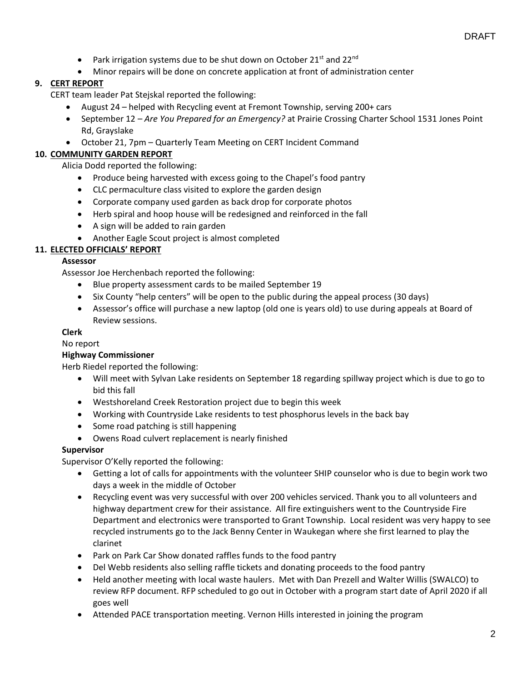- Park irrigation systems due to be shut down on October 21st and 22 $^{\text{nd}}$
- Minor repairs will be done on concrete application at front of administration center

# **9. CERT REPORT**

CERT team leader Pat Stejskal reported the following:

- August 24 helped with Recycling event at Fremont Township, serving 200+ cars
- September 12 *Are You Prepared for an Emergency?* at Prairie Crossing Charter School 1531 Jones Point Rd, Grayslake
- October 21, 7pm Quarterly Team Meeting on CERT Incident Command

# **10. COMMUNITY GARDEN REPORT**

Alicia Dodd reported the following:

- Produce being harvested with excess going to the Chapel's food pantry
- CLC permaculture class visited to explore the garden design
- Corporate company used garden as back drop for corporate photos
- Herb spiral and hoop house will be redesigned and reinforced in the fall
- A sign will be added to rain garden
- Another Eagle Scout project is almost completed

# **11. ELECTED OFFICIALS' REPORT**

#### **Assessor**

Assessor Joe Herchenbach reported the following:

- Blue property assessment cards to be mailed September 19
- Six County "help centers" will be open to the public during the appeal process (30 days)
- Assessor's office will purchase a new laptop (old one is years old) to use during appeals at Board of Review sessions.

#### **Clerk**

No report

### **Highway Commissioner**

Herb Riedel reported the following:

- Will meet with Sylvan Lake residents on September 18 regarding spillway project which is due to go to bid this fall
- Westshoreland Creek Restoration project due to begin this week
- Working with Countryside Lake residents to test phosphorus levels in the back bay
- Some road patching is still happening
- Owens Road culvert replacement is nearly finished

#### **Supervisor**

Supervisor O'Kelly reported the following:

- Getting a lot of calls for appointments with the volunteer SHIP counselor who is due to begin work two days a week in the middle of October
- Recycling event was very successful with over 200 vehicles serviced. Thank you to all volunteers and highway department crew for their assistance. All fire extinguishers went to the Countryside Fire Department and electronics were transported to Grant Township. Local resident was very happy to see recycled instruments go to the Jack Benny Center in Waukegan where she first learned to play the clarinet
- Park on Park Car Show donated raffles funds to the food pantry
- Del Webb residents also selling raffle tickets and donating proceeds to the food pantry
- Held another meeting with local waste haulers. Met with Dan Prezell and Walter Willis (SWALCO) to review RFP document. RFP scheduled to go out in October with a program start date of April 2020 if all goes well
- Attended PACE transportation meeting. Vernon Hills interested in joining the program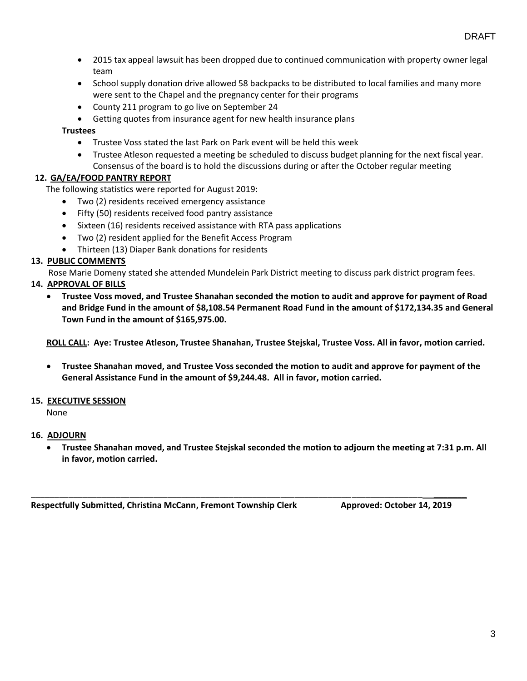- 2015 tax appeal lawsuit has been dropped due to continued communication with property owner legal team
- School supply donation drive allowed 58 backpacks to be distributed to local families and many more were sent to the Chapel and the pregnancy center for their programs
- County 211 program to go live on September 24
- Getting quotes from insurance agent for new health insurance plans

# **Trustees**

- Trustee Voss stated the last Park on Park event will be held this week
- Trustee Atleson requested a meeting be scheduled to discuss budget planning for the next fiscal year. Consensus of the board is to hold the discussions during or after the October regular meeting

# **12. GA/EA/FOOD PANTRY REPORT**

The following statistics were reported for August 2019:

- Two (2) residents received emergency assistance
- Fifty (50) residents received food pantry assistance
- Sixteen (16) residents received assistance with RTA pass applications
- Two (2) resident applied for the Benefit Access Program
- Thirteen (13) Diaper Bank donations for residents

# **13. PUBLIC COMMENTS**

Rose Marie Domeny stated she attended Mundelein Park District meeting to discuss park district program fees.

# **14. APPROVAL OF BILLS**

• **Trustee Voss moved, and Trustee Shanahan seconded the motion to audit and approve for payment of Road and Bridge Fund in the amount of \$8,108.54 Permanent Road Fund in the amount of \$172,134.35 and General Town Fund in the amount of \$165,975.00.**

**ROLL CALL: Aye: Trustee Atleson, Trustee Shanahan, Trustee Stejskal, Trustee Voss. All in favor, motion carried.**

• **Trustee Shanahan moved, and Trustee Voss seconded the motion to audit and approve for payment of the General Assistance Fund in the amount of \$9,244.48. All in favor, motion carried.**

# **15. EXECUTIVE SESSION**

None

# **16. ADJOURN**

• **Trustee Shanahan moved, and Trustee Stejskal seconded the motion to adjourn the meeting at 7:31 p.m. All in favor, motion carried.**

\_\_\_\_\_\_\_\_\_\_\_\_\_\_\_\_\_\_\_\_\_\_\_\_\_\_\_\_\_\_\_\_\_\_\_\_\_\_\_\_\_\_\_\_\_\_\_\_\_\_\_\_\_\_\_\_\_\_\_\_\_\_\_\_\_\_\_\_\_\_\_\_\_\_\_\_\_\_\_\_\_\_\_ \_\_\_\_\_\_\_

**Respectfully Submitted, Christina McCann, Fremont Township Clerk Approved: October 14, 2019**